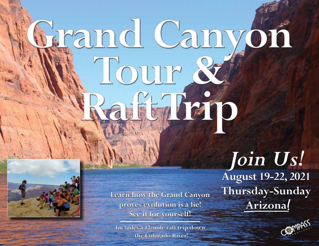# Fand Canyon Tour & Earlen



Learn how the Grand Canyon<br>**Arizona**! Proves evolution is a lie! **Arizona proves evolution is a lie! See it for yourself!**

**Includes a 17-mile raft trip down the Colorado River!**

*Join Us!*  **August 19-22, 2021 Thursday-Sunday**

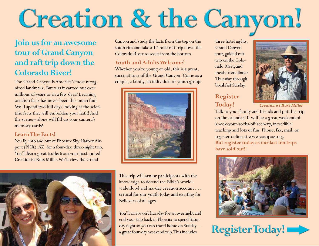# Creation & the Canyon!

# **Join us for an awesome tour of Grand Canyon and raft trip down the Colorado River!**

The Grand Canyon is America's most recognized landmark. But was it carved out over millions of years or in a few days? Learning creation facts has never been this much fun! We'll spend two full days looking at the scientific facts that will embolden your faith! And the scenery alone will fill up your camera's memory cards!

# **Learn The Facts!**

You fly into and out of Phoenix Sky Harbor Airport (PHX), AZ, for a four-day, three-night trip. You'll learn great truths from your host, noted Creationist Russ Miller. We'll view the Grand



Canyon and study the facts from the top on the south rim and take a 17-mile raft trip down the Colorado River to see it from the bottom.

# **Youth and Adults Welcome!**

Whether you're young or old, this is a great, succinct tour of the Grand Canyon. Come as a couple, a family, an individual or youth group.



This trip will armor participants with the knowledge to defend the Bible's worldwide flood and six-day creation account . . . critical for our youth today and exciting for Believers of all ages.

You'll arrive on Thursday for an overnight and end your trip back in Phoenix to spend Saturday night so you can travel home on Sunday a great four-day weekend trip. This includes

three hotel nights, Grand Canyon tour, guided raft trip on the Colorado River, and meals from dinner Thursday through breakfast Sunday.

# **Register Today!**



*Creationist Russ Miller*

Talk to your family and friends and put this trip on the calendar! It will be a great weekend of knock-your-socks-off scenery, incredible teaching and lots of fun. Phone, fax, mail, or register online at www.compass.org. **But register today as our last ten trips have sold out!!**



RegisterToday!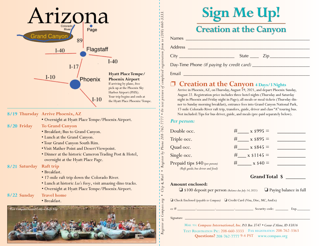

### **8/19 Thursday Arrive Phoenix, AZ**

**•** Overnight at Hyatt Place Tempe/Phoenix Airport.

- **8/20 To Grand Canyon** 
	- Breakfast; Bus to Grand Canyon.
	- Lunch at the Grand Canyon.
	- Tour Grand Canyon South Rim.
	- Visit Mather Point and Desert Viewpoint.
	- Dinner at the historic Cameron Trading Post & Hotel, overnight at the Hyatt Place Page.

# **8/21 Saturday Raft trip**

- Breakfast.
- 17-mile raft trip down the Colorado River.
- Lunch at historic *Lee's Ferry*, visit amazing dino tracks.
- Overnight at Hyatt Place Tempe/Phoenix Airport.

#### **8/22 Travel home**

• Breakfast.



|              | <b>Sign Me Up!</b>            |
|--------------|-------------------------------|
| <b>Names</b> | <b>Creation at the Canyon</b> |

Address \_\_\_\_\_\_\_\_\_\_\_\_\_\_\_\_\_\_\_\_\_\_\_\_\_\_\_\_\_\_\_\_\_\_\_\_\_\_\_\_\_\_\_\_\_\_\_\_\_\_\_\_\_\_\_

City \_\_\_\_\_\_\_\_\_\_\_\_\_\_\_\_\_\_\_\_\_\_\_\_\_ State \_\_\_\_ Zip\_\_\_\_\_\_\_\_\_\_\_\_\_\_\_\_\_\_

Day-Time Phone (If paying by credit card)

Email and the contract of the contract of the contract of the contract of the contract of the contract of the contract of the contract of the contract of the contract of the contract of the contract of the contract of the

# p **Creation at the Canyon 4 Days/3 Nights**

Arrive in Phoenix, AZ, on Thursday, August 19, 2021, and depart Phoenix Sunday, August 22. Registration price includes three hotel nights (Thursday and Saturday night in Phoenix and Friday night in Page); all meals or meal tickets (Thursday dinner to Sunday morning breakfast), entrance fees into Grand Canyon National Park, 17-mile Colorado River raft trip, transfers, guide, driver and class "A" touring bus. Not included: Tips for bus driver, guide, and meals (pre-paid separately below).

## *Per person:*

*Register at Compass.org • Clip & Mail • Register by Phone 208-762-7777 • Or text picture of completed registration form to (208) 660-3333.*

 $\overline{C1p} = \overline{a} \overline{h} - \overline{a} - \overline{b} - \overline{c} - \overline{c} - \overline{c} - \overline{c} - \overline{c} - \overline{c} - \overline{c} - \overline{c} - \overline{c} - \overline{c} - \overline{c} - \overline{c} - \overline{c} - \overline{c} - \overline{c} - \overline{c} - \overline{c} - \overline{c} - \overline{c} - \overline{c} - \overline{c} - \overline{c} - \overline{c} - \overline{c} - \overline{c} - \overline{c} - \over$ 

| Double occ.                       | $x \$995 =$                |  |
|-----------------------------------|----------------------------|--|
| Triple occ.                       | $x $895 =$<br>#            |  |
| Quad occ.                         | $x$ \$845 =                |  |
| Single occ.                       | $\mathbf{x}$ \$1145 =<br># |  |
| Prepaid tips \$40 (per person)    | $x $40 =$                  |  |
| (Raft guide, bus driver and food) |                            |  |

### **Amount enclosed:**

❏ \$100 deposit per person *(Balance due July 14, 2021)* ❏ Paying balance in full

 **Grand Total \$ \_\_\_\_\_\_\_**

❏ Check Enclosed *(payable to Compass)* ❏ Credit Card (Visa, Disc, MC, AmEx)

| $\sim$<br>u |  | and the contract of the contract of<br>" |  |
|-------------|--|------------------------------------------|--|
|             |  |                                          |  |

 $Signature$   $\overline{\phantom{a}}$ 

 $\frac{1}{2} - \frac{1}{2} - \frac{1}{2} - \frac{1}{2} - \frac{1}{2} - \frac{1}{2} - \frac{1}{2}$ 

Mail to: *Compass International, Inc. P.O. Box 3747 • Coeur d'Alene, ID 83816* Text Registration Pic: 208-660-3333 Fax registration 208-762-3363 **Questions?** 208-762-7777 9-4 PST www.compass.org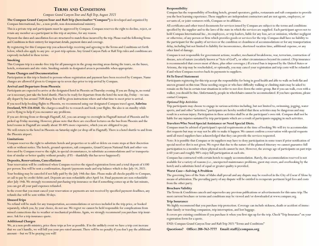## **Terms and Conditions**

#### *Compass Grand Canyon Tour and Raft Trip, August 2021*

**The Compass Grand Canyon Tour and Raft Trip (hereinafter "Compass")** is developed and organized by Compass International, Inc., a non-profit, non-denominational ministry.

This is a private trip and participants must be approved by Compass. Compass reserves the right to decline, reject, or retain any member as a participant in this trip at anytime, for any reason.

Payment due dates and cancellation fees are structured to match those incurred by the trip. Please read the following Terms and Conditions in their entirety for important details, payment dates and coverage.

By registering for this Compass trip you acknowledge receiving and agreeing to the Terms and Conditions set forth below, which also apply to any pre- or post-trip options. Any Grand Canyon Park or Raft Trip rules and conditions are expressly included in these terms.

#### **Smoking**

This Compass trip is a smoke-free trip for all passengers in the group meeting areas during the tours, on the buses, hotels, restaurants and site visits. Smoking outside in designated areas is permissible when appropriate.

#### **Name Changes and Documentation**

Participation in this trip is limited to persons whose registration and payment have been received by Compass. Name changes are allowed if given to Compass up to seven days prior to trip arrival by Compass.

#### **Arrival and Departure from Phoenix**

Participants are expected to arrive at the designated hotel in Phoenix on Thursday evening. If you are flying in, no rental car is necessary, just take the hotel shuttle. Plan to be ready for departure from the hotel the next day, Friday—we usually depart by bus around 7AM sharp. You will be given instructions where and what time to meet prior to arrival.

If you need help booking flights to Phoenix, we recommend using our designated Compass travel agent, **Sabrina Freeland, 919-334-8168**. She charges a small fee to research and book your flights. She also is on standby while you're flying to help if you encounter any problems.

If you are driving from or through Flagstaff, AZ, you can arrange to overnight in Flagstaff instead of Phoenix and be picked up Friday morning. However, please note that there are excellent lectures on the bus from Phoenix and the hotel rooms in Flagstaff are usually about 30-40% more expensive, which you are obligated to pay.

We will return to the hotel in Phoenix on Saturday night (or drop off in Flagstaff). There is a hotel shuttle to and from the Phoenix airport.

#### **Limitations**

Compass reserves the right to substitute hotels and properties or to add or delete en-route stops at their discretion with or without notice. The hotels, ground operators, raft companies, Grand Canyon National Park and other vendors used by Compass reserve the right, in special circumstances, to substitute accommodations and/or transportation of similar or better quality without penalty. (FYI—thankfully this has never happened!)

#### **Deposits, Reservations, Cancellations**

Your reservation will be confirmed when Compass receives the signed registration form and a total deposit of \$100 per person. You will be sent a confirmation, deposit/payments made and trip balance which is due July 14, 2021.

Your booking may be canceled if not fully paid by the July 14th due date. Please make all checks payable to Compass, or call to pay by credit/debit card. Deposits are non-refundable after April 1st. Final payments are non-refundable after July 14th. We strongly recommend purchasing trip insurance so that if something comes up at the last minute, you can get all your paid expenses refunded.

In the event that you must cancel your reservation or payments are not received by specified payment deadlines, any refunds due will be sent within 30 days.

#### **Unused Trips**

No refund will be made for any transportation, accommodations or services included in the trip price, or booked separately, which you, by your choice, do not use. We regret we cannot be held responsible for complications from missed connections due to weather or mechanical problems. Again, we strongly recommend you purchase trip insurance. Ask for a trip insurance quote.

#### **Additional Charges**

We, as a non-profit ministry, price these trips as low as possible. If in the unlikely event we have a trip cost increase that we can't handle, we will bill you your pro-rated amount. There will be no penalty if you don't pay the additional amount—but we'll be praying you will!

#### **Responsibility**

Compass has the responsibility of booking hotels, ground operators, guides, restaurants and raft companies to provide you the best learning experience. These suppliers are independent contractors and are not agents, employees, or servants of, or joint venturers with, Compass or its affiliates.

All certificates and other travel documents for services issued by Compass are subject to the terms and conditions specified by the supplier and to the laws of the state in which the services are supplied. Each participant agrees not to hold Compass International Inc., its employees, or trip leaders, liable for any loss, act or omission, whether negligent or otherwise, of any person or firm which provides goods or services for the trip. Compass shall have no liability to the participant for the quality of services or the condition or cleanliness of accommodations or for any transportation delay, including but not limited to liability for inconvenience, shortened vacation time, additional expense, or any other kind of damage.

Compass is not responsible for government actions, weather, mechanical breakdowns, war, terrorism, contraction of disease, acts of nature (secularly known as "Acts of God"), or other circumstances beyond its control. (Trip insurance is recommended that covers most of these, plus other coverages.) If a travel ban is imposed by the United States or Arizona, the trip may be rescheduled, or optionally, you may cancel your registration and trip costs will be refunded if and when Compass receives back its payments to suppliers.

#### **Fit To Travel Statement**

Participants registering for this trip accept the responsibility for being in good health and able to walk on both flat and uneven ground on this tour. Those needing oxygen or who have difficulty walking or climbing stairs may be asked to remain on the bus in certain tour situations in order to not slow down the entire group. But if you can walk, even with a walker, you should be fine. Unfortunately, people in wheelchairs cannot be accommodated. If you have questions, please contact Compass.

#### *Optional Trip Activities*

Trip participants may choose to engage in various activities including, but not limited to, swimming, jogging, water sports, and and other "activities;" participants are hereby notified that these activities may be dangerous and may result in a serious injury. Participation in these activities shall be at the participant's own risk. Compass shall not be liable for any injuries sustained by trip participants which are a result of participants engaging in such activities.

#### **Travelers Who Need Special Assistance or Need Special Diets.**

Compass must be advised of participant's special requirements at the time of booking. We will try to accommodate diet requests but may or may not be able to make it happen. We cannot confirm a reservation with special requests until all travel suppliers have acknowledged that they can provide the services requested.

Note: It is possible that Compass or its suppliers may have to deny participation in some tours if prior notification of special need or diet is not given. We regret that due to the nature of the planned itinerary we cannot guarantee full participation to a member whose physical needs cannot be met. However, the average age of participants on past trips is 60 years and roughly 98% enjoy full participation at each site.

Compass has contracted with certain hotels to supply accommodation. Rarely, the accommodation reserved is not available for a variety of reasons (i.e., unexpected maintenance problems, guest stay-overs, and overbooking by the hotel) and a substitute hotel of equal or greater quality is provided.

#### **Worst Case—Solving A Problem**

The governing laws of the State of Idaho shall prevail and any dispute may be resolved in the City of Coeur d'Alene by means of arbitration. The prevailing party of any dispute will be entitled to recuperate pertinent legal fees and costs from the other party.

#### **Brochure Validity**

The Terms & Conditions cancels and supersedes any previous publications or advertisements for this same trip. The most current brochure or terms and conditions may be viewed and/or downloaded at www.compass.org.

#### **Trip Insurance**

We highly recommend that you purchase trip protection. Coverage can include sickness, death or accident of immediate family or traveling companion, trip interruption, and lost baggage.

It covers pre-existing conditions if you purchase it when you first sign up for the trip. Check "Trip Insurance" on your registration form for a quote.

END: Compass Grand Canyon Tour and Raft Trip 2021 "Terms and Conditions"

**Questions? Office: 208-762-7777 Email: staff@compass.org**